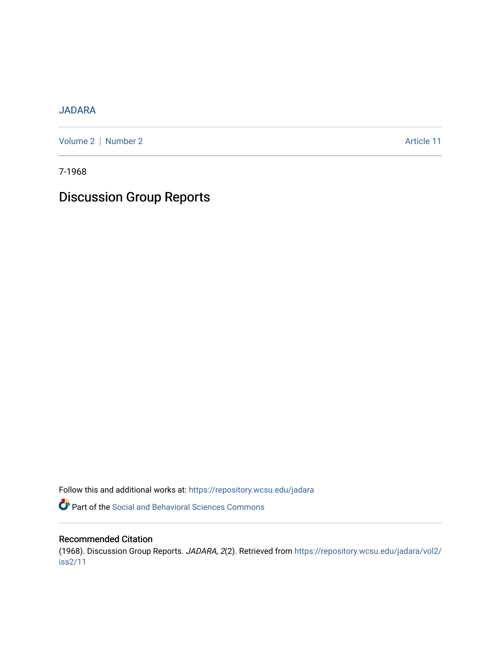## [JADARA](https://repository.wcsu.edu/jadara)

[Volume 2](https://repository.wcsu.edu/jadara/vol2) | [Number 2](https://repository.wcsu.edu/jadara/vol2/iss2) Article 11

7-1968

# Discussion Group Reports

Follow this and additional works at: [https://repository.wcsu.edu/jadara](https://repository.wcsu.edu/jadara?utm_source=repository.wcsu.edu%2Fjadara%2Fvol2%2Fiss2%2F11&utm_medium=PDF&utm_campaign=PDFCoverPages)

Part of the [Social and Behavioral Sciences Commons](http://network.bepress.com/hgg/discipline/316?utm_source=repository.wcsu.edu%2Fjadara%2Fvol2%2Fiss2%2F11&utm_medium=PDF&utm_campaign=PDFCoverPages) 

### Recommended Citation

(1968). Discussion Group Reports. JADARA, 2(2). Retrieved from [https://repository.wcsu.edu/jadara/vol2/](https://repository.wcsu.edu/jadara/vol2/iss2/11?utm_source=repository.wcsu.edu%2Fjadara%2Fvol2%2Fiss2%2F11&utm_medium=PDF&utm_campaign=PDFCoverPages) [iss2/11](https://repository.wcsu.edu/jadara/vol2/iss2/11?utm_source=repository.wcsu.edu%2Fjadara%2Fvol2%2Fiss2%2F11&utm_medium=PDF&utm_campaign=PDFCoverPages)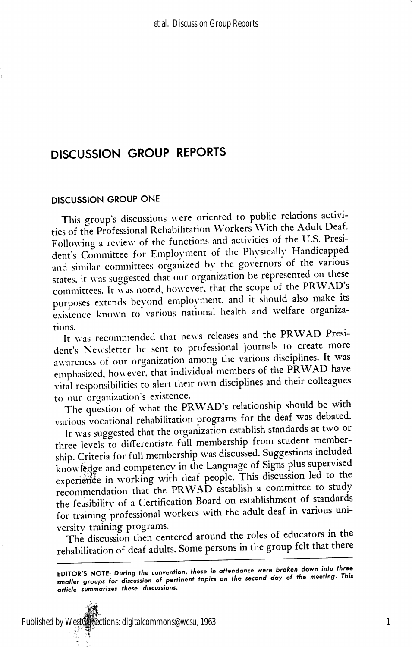## DISCUSSION GROUP REPORTS

#### DISCUSSION GROUP ONE

This group's discussions were oriented to public relations activi ties of the Professional Rehabilitation Workers With the Adult Deaf. Following a review of the functions and activities of the U.S. Presi dent's Committee for Emplovment of the Physically Handicapped and similar committees organized by the governors of the various states, it was suggested that our organization he represented on these committees. It was noted, however, that the scope of the PRWAD's purposes extends bevond employment, and it should also make its existence known to various national health and welfare organizarions.

It was recommended that news releases and the PRWAD Presi dent's Newsletter be sent to professional journals to create more awareness of our organization among the various disciplines. It was emphasized, however, that individual members of the PRWAD have vital responsibilities to alert their own disciplines and their colleagues to our organization's existence.

The question of what the PRWAD's relationship should be with various vocational rehabilitation programs for the deaf was debated.

It was suggested that the organization establish standards at two or three levels to differentiate full membership from student member ship. Criteria for full membership was discussed. Suggestions included knowledge and competency in the Language of Signs plus supervised experience in working with deaf people. This discussion led to the recommendation that the PRWAD establish a committee to study the feasibilitv of a Certification Board on establishment of standards for training professional workers with the adult deaf in various uni versity training programs.

The discussion then centered around the roles of educators in the rehabilitation of deaf adults. Some persons in the group felt that there

EDITOR'S NOTE: During the convention, those in attendance were broken down into three smaller groups for discussion of pertinenf topics on the second day of the meeting. This article summarizes these discussions.

Published by WestCollections: digitalcommons@wcsu, 1963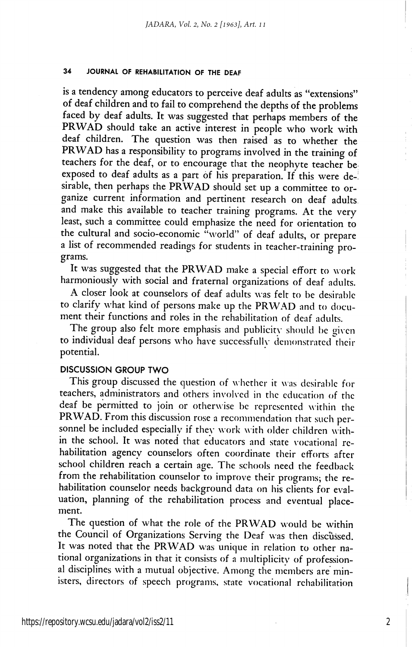#### 34 JOURNAL OF REHABILITATION OF THE DEAF

is a tendency among educators to perceive deaf adults as "extensions" of deaf children and to fail to comprehend the depths of the problems faced by deaf adults. It was suggested that perhaps members of the PRWAD should take an active interest in people who work with deaf children. The question was then raised as to whether the PRWAD has a responsibility to programs involved in the training of teachers for the deaf, or to encourage that the neophyte teacher be exposed to deaf adults as a part of his preparation. If this were de-! sirable, then perhaps the PRWAD should set up a committee to organize current information and pertinent research on deaf adults and make this available to teacher training programs. At the very least, such a committee could emphasize the need for orientation to the cultural and socio-economic "world" of deaf adults, or prepare a list of recommended readings for students in teacher-training pro grams.

It was suggested that the PRWAD make a special effort to work harmoniously with social and fraternal organizations of deaf adults.

A closer look at counselors of deaf adults was felt to be desirable to clarify what kind of persons make up the PRWAD and to docu ment their functions and roles in the rehabilitation of deaf adults.

The group also felt more emphasis and publicity should be given to individual deaf persons who have successfully demonstrated their potential.

#### DISCUSSION GROUP TWO

This group discussed the question of w hether it was desirable for teachers, administrators and others involved in the education of the deaf be permitted to join or otherwise be represented within the PRWAD. From this discussion rose a recommendation that such per sonnel be included especially if they work with older children within the school. It was noted that educators and state vocational re habilitation agency counselors often coordinate their efforts after school children reach a certain age. The schools need the feedback from the rehabilitation counselor to improve their programs; the re habilitation counselor needs background data on his clients for eval uation, planning of the rehabilitation process and eventual place ment.

The question of what the role of the PRWAD would be within the Council of Organizations Serving the Deaf was then discussed. It was noted that the PRWAD was unique in relation to other na tional organizations in that it consists of a multiplicity of professional disciplines with a mutual objective. Among the members are min isters, directors of speech programs, state vocational rehabilitation

2